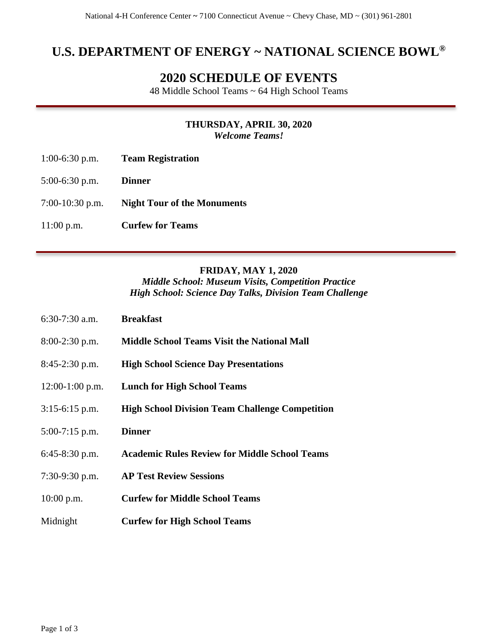# **U.S. DEPARTMENT OF ENERGY ~ NATIONAL SCIENCE BOWL®**

# **2020 SCHEDULE OF EVENTS**

48 Middle School Teams ~ 64 High School Teams

### **THURSDAY, APRIL 30, 2020** *Welcome Teams!*

- 1:00-6:30 p.m. **Team Registration**
- 5:00-6:30 p.m. **Dinner**
- 7:00-10:30 p.m. **Night Tour of the Monuments**
- 11:00 p.m. **Curfew for Teams**

## **FRIDAY, MAY 1, 2020**

*Middle School: Museum Visits, Competition Practice High School: Science Day Talks, Division Team Challenge*

| $6:30-7:30$ a.m.  | <b>Breakfast</b>                                       |
|-------------------|--------------------------------------------------------|
| $8:00-2:30$ p.m.  | <b>Middle School Teams Visit the National Mall</b>     |
| $8:45-2:30$ p.m.  | <b>High School Science Day Presentations</b>           |
| $12:00-1:00$ p.m. | <b>Lunch for High School Teams</b>                     |
| $3:15-6:15$ p.m.  | <b>High School Division Team Challenge Competition</b> |
| $5:00-7:15$ p.m.  | <b>Dinner</b>                                          |
| $6:45-8:30$ p.m.  | <b>Academic Rules Review for Middle School Teams</b>   |
| $7:30-9:30$ p.m.  | <b>AP Test Review Sessions</b>                         |
| $10:00$ p.m.      | <b>Curfew for Middle School Teams</b>                  |
| Midnight          | <b>Curfew for High School Teams</b>                    |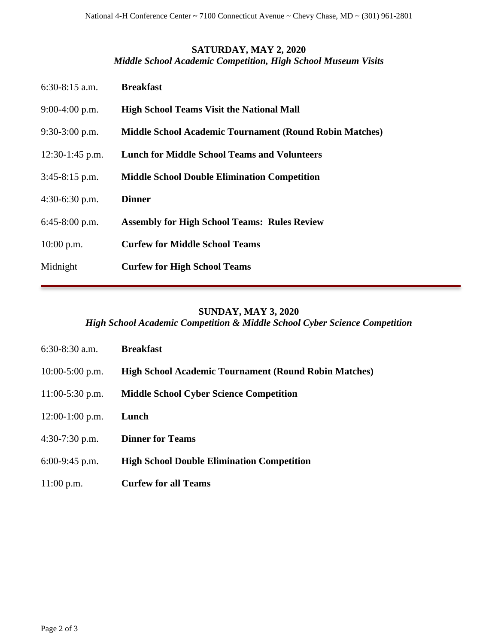## **SATURDAY, MAY 2, 2020**

*Middle School Academic Competition, High School Museum Visits*

| $6:30-8:15$ a.m.  | <b>Breakfast</b>                                               |
|-------------------|----------------------------------------------------------------|
| $9:00-4:00$ p.m.  | <b>High School Teams Visit the National Mall</b>               |
| $9:30-3:00$ p.m.  | <b>Middle School Academic Tournament (Round Robin Matches)</b> |
| $12:30-1:45$ p.m. | <b>Lunch for Middle School Teams and Volunteers</b>            |
| $3:45-8:15$ p.m.  | <b>Middle School Double Elimination Competition</b>            |
| $4:30-6:30$ p.m.  | <b>Dinner</b>                                                  |
| $6:45-8:00$ p.m.  | <b>Assembly for High School Teams: Rules Review</b>            |
| $10:00$ p.m.      | <b>Curfew for Middle School Teams</b>                          |
| Midnight          | <b>Curfew for High School Teams</b>                            |

## **SUNDAY, MAY 3, 2020** *High School Academic Competition & Middle School Cyber Science Competition*

| $6:30-8:30$ a.m.  | <b>Breakfast</b>                                             |
|-------------------|--------------------------------------------------------------|
| $10:00-5:00$ p.m. | <b>High School Academic Tournament (Round Robin Matches)</b> |
| $11:00-5:30$ p.m. | <b>Middle School Cyber Science Competition</b>               |
| $12:00-1:00$ p.m. | Lunch                                                        |
| $4:30-7:30$ p.m.  | <b>Dinner for Teams</b>                                      |
| $6:00-9:45$ p.m.  | <b>High School Double Elimination Competition</b>            |
| $11:00$ p.m.      | <b>Curfew for all Teams</b>                                  |